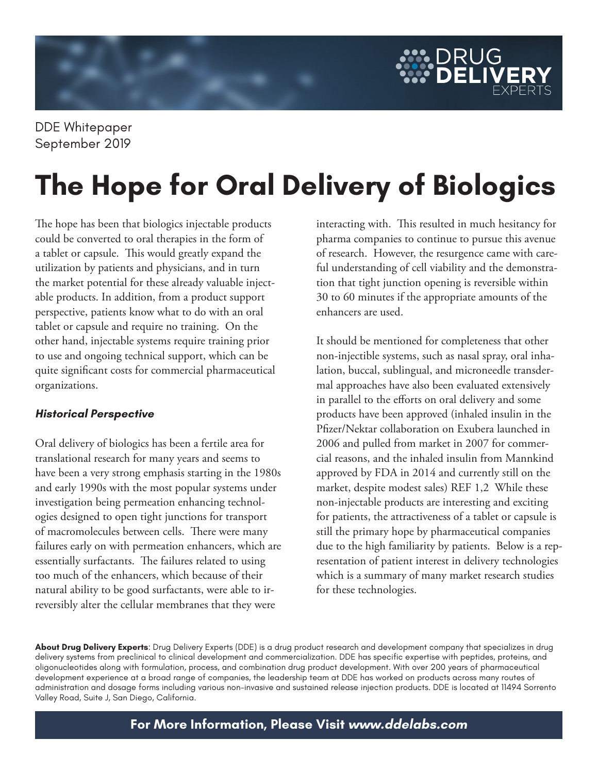

DDE Whitepaper September 2019

# **The Hope for Oral Delivery of Biologics**

The hope has been that biologics injectable products could be converted to oral therapies in the form of a tablet or capsule. This would greatly expand the utilization by patients and physicians, and in turn the market potential for these already valuable injectable products. In addition, from a product support perspective, patients know what to do with an oral tablet or capsule and require no training. On the other hand, injectable systems require training prior to use and ongoing technical support, which can be quite significant costs for commercial pharmaceutical organizations.

## **Historical Perspective**

Oral delivery of biologics has been a fertile area for translational research for many years and seems to have been a very strong emphasis starting in the 1980s and early 1990s with the most popular systems under investigation being permeation enhancing technologies designed to open tight junctions for transport of macromolecules between cells. There were many failures early on with permeation enhancers, which are essentially surfactants. The failures related to using too much of the enhancers, which because of their natural ability to be good surfactants, were able to irreversibly alter the cellular membranes that they were

interacting with. This resulted in much hesitancy for pharma companies to continue to pursue this avenue of research. However, the resurgence came with careful understanding of cell viability and the demonstration that tight junction opening is reversible within 30 to 60 minutes if the appropriate amounts of the enhancers are used.

It should be mentioned for completeness that other non-injectible systems, such as nasal spray, oral inhalation, buccal, sublingual, and microneedle transdermal approaches have also been evaluated extensively in parallel to the efforts on oral delivery and some products have been approved (inhaled insulin in the Pfizer/Nektar collaboration on Exubera launched in 2006 and pulled from market in 2007 for commercial reasons, and the inhaled insulin from Mannkind approved by FDA in 2014 and currently still on the market, despite modest sales) REF 1,2 While these non-injectable products are interesting and exciting for patients, the attractiveness of a tablet or capsule is still the primary hope by pharmaceutical companies due to the high familiarity by patients. Below is a representation of patient interest in delivery technologies which is a summary of many market research studies for these technologies.

**About Drug Delivery Experts**: Drug Delivery Experts (DDE) is a drug product research and development company that specializes in drug delivery systems from preclinical to clinical development and commercialization. DDE has specific expertise with peptides, proteins, and oligonucleotides along with formulation, process, and combination drug product development. With over 200 years of pharmaceutical development experience at a broad range of companies, the leadership team at DDE has worked on products across many routes of administration and dosage forms including various non-invasive and sustained release injection products. DDE is located at 11494 Sorrento Valley Road, Suite J, San Diego, California.

**For More Information, Please Visit www.ddelabs.com**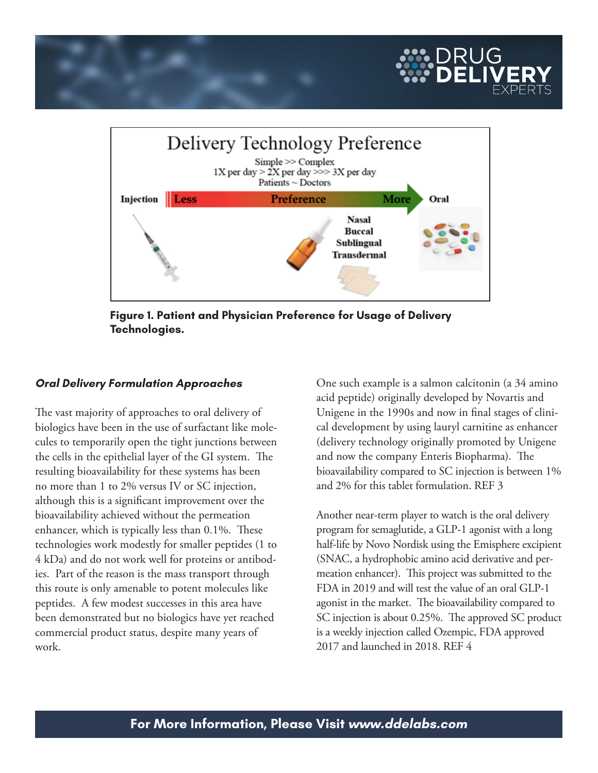



**Figure 1. Patient and Physician Preference for Usage of Delivery Technologies.** 

#### **Oral Delivery Formulation Approaches**

The vast majority of approaches to oral delivery of biologics have been in the use of surfactant like molecules to temporarily open the tight junctions between the cells in the epithelial layer of the GI system. The resulting bioavailability for these systems has been no more than 1 to 2% versus IV or SC injection, although this is a significant improvement over the bioavailability achieved without the permeation enhancer, which is typically less than 0.1%. These technologies work modestly for smaller peptides (1 to 4 kDa) and do not work well for proteins or antibodies. Part of the reason is the mass transport through this route is only amenable to potent molecules like peptides. A few modest successes in this area have been demonstrated but no biologics have yet reached commercial product status, despite many years of work.

One such example is a salmon calcitonin (a 34 amino acid peptide) originally developed by Novartis and Unigene in the 1990s and now in final stages of clinical development by using lauryl carnitine as enhancer (delivery technology originally promoted by Unigene and now the company Enteris Biopharma). The bioavailability compared to SC injection is between 1% and 2% for this tablet formulation. REF 3

Another near-term player to watch is the oral delivery program for semaglutide, a GLP-1 agonist with a long half-life by Novo Nordisk using the Emisphere excipient (SNAC, a hydrophobic amino acid derivative and permeation enhancer). This project was submitted to the FDA in 2019 and will test the value of an oral GLP-1 agonist in the market. The bioavailability compared to SC injection is about 0.25%. The approved SC product is a weekly injection called Ozempic, FDA approved 2017 and launched in 2018. REF 4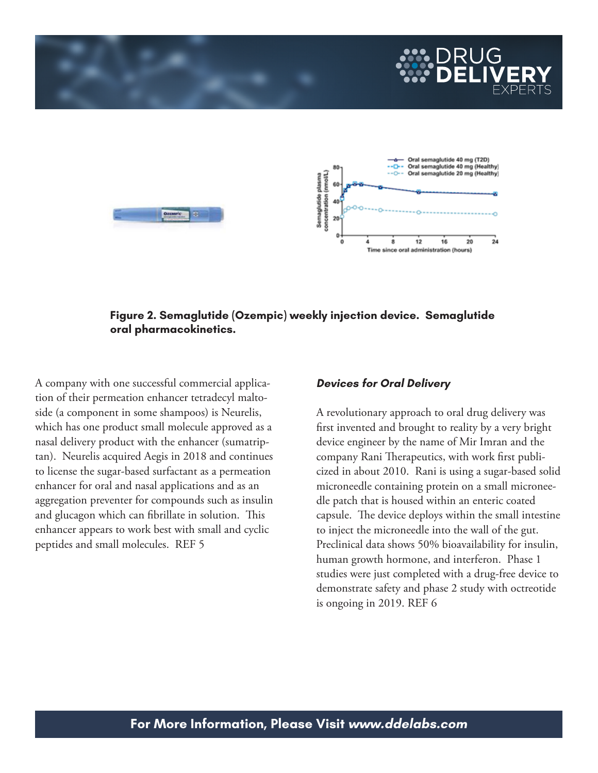

### **Figure 2. Semaglutide (Ozempic) weekly injection device. Semaglutide oral pharmacokinetics.**

A company with one successful commercial application of their permeation enhancer tetradecyl maltoside (a component in some shampoos) is Neurelis, which has one product small molecule approved as a nasal delivery product with the enhancer (sumatriptan). Neurelis acquired Aegis in 2018 and continues to license the sugar-based surfactant as a permeation enhancer for oral and nasal applications and as an aggregation preventer for compounds such as insulin and glucagon which can fibrillate in solution. This enhancer appears to work best with small and cyclic peptides and small molecules. REF 5

#### **Devices for Oral Delivery**

A revolutionary approach to oral drug delivery was first invented and brought to reality by a very bright device engineer by the name of Mir Imran and the company Rani Therapeutics, with work first publicized in about 2010. Rani is using a sugar-based solid microneedle containing protein on a small microneedle patch that is housed within an enteric coated capsule. The device deploys within the small intestine to inject the microneedle into the wall of the gut. Preclinical data shows 50% bioavailability for insulin, human growth hormone, and interferon. Phase 1 studies were just completed with a drug-free device to demonstrate safety and phase 2 study with octreotide is ongoing in 2019. REF 6